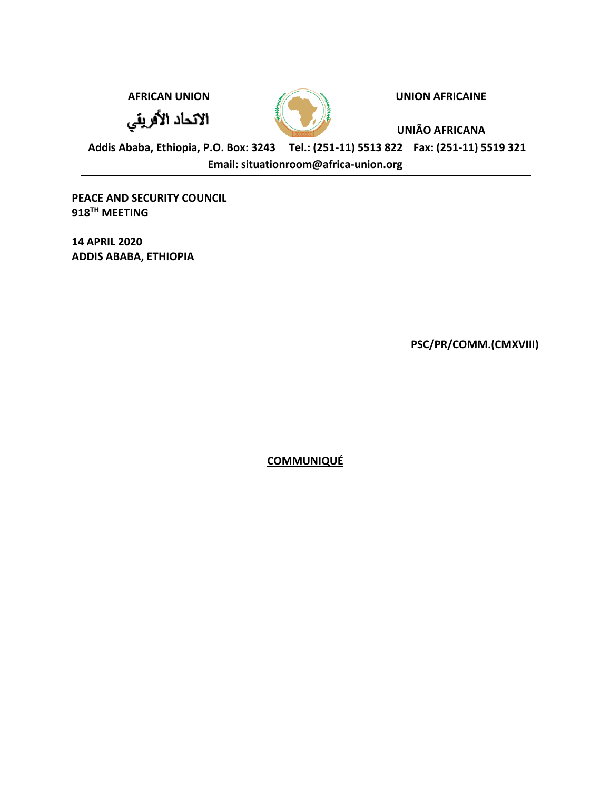الاتحاد الأفريقي



**AFRICAN UNION UNION AFRICAINE**

**UNIÃO AFRICANA**

**Addis Ababa, Ethiopia, P.O. Box: 3243 Tel.: (251-11) 5513 822 Fax: (251-11) 5519 321 Email: situationroom@africa-union.org**

**PEACE AND SECURITY COUNCIL 918TH MEETING**

**14 APRIL 2020 ADDIS ABABA, ETHIOPIA**

**PSC/PR/COMM.(CMXVIII)**

**COMMUNIQUÉ**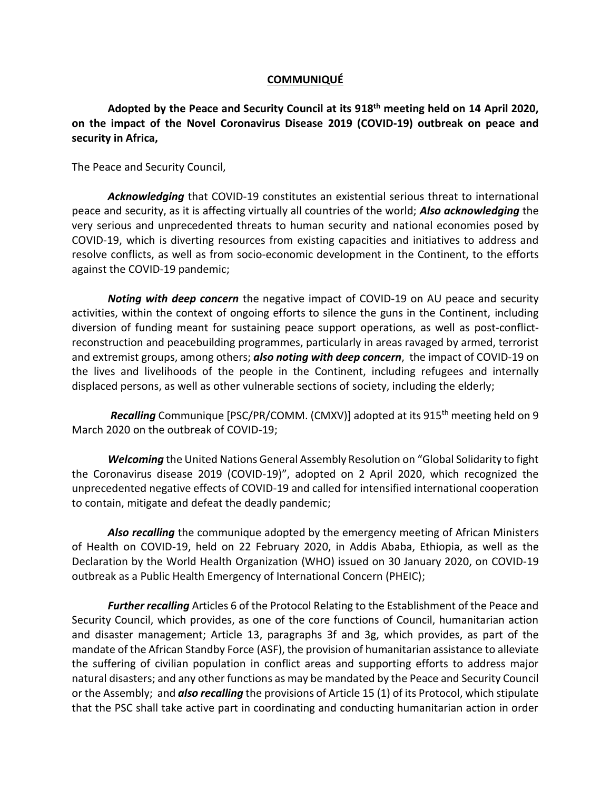## **COMMUNIQUÉ**

**Adopted by the Peace and Security Council at its 918th meeting held on 14 April 2020, on the impact of the Novel Coronavirus Disease 2019 (COVID-19) outbreak on peace and security in Africa,**

The Peace and Security Council,

*Acknowledging* that COVID-19 constitutes an existential serious threat to international peace and security, as it is affecting virtually all countries of the world; *Also acknowledging* the very serious and unprecedented threats to human security and national economies posed by COVID-19, which is diverting resources from existing capacities and initiatives to address and resolve conflicts, as well as from socio-economic development in the Continent, to the efforts against the COVID-19 pandemic;

*Noting with deep concern* the negative impact of COVID-19 on AU peace and security activities, within the context of ongoing efforts to silence the guns in the Continent, including diversion of funding meant for sustaining peace support operations, as well as post-conflictreconstruction and peacebuilding programmes, particularly in areas ravaged by armed, terrorist and extremist groups, among others; *also noting with deep concern*, the impact of COVID-19 on the lives and livelihoods of the people in the Continent, including refugees and internally displaced persons, as well as other vulnerable sections of society, including the elderly;

*Recalling* Communique [PSC/PR/COMM. (CMXV)] adopted at its 915<sup>th</sup> meeting held on 9 March 2020 on the outbreak of COVID-19;

*Welcoming* the United Nations General Assembly Resolution on "Global Solidarity to fight the Coronavirus disease 2019 (COVID-19)", adopted on 2 April 2020, which recognized the unprecedented negative effects of COVID-19 and called for intensified international cooperation to contain, mitigate and defeat the deadly pandemic;

*Also recalling* the communique adopted by the emergency meeting of African Ministers of Health on COVID-19, held on 22 February 2020, in Addis Ababa, Ethiopia, as well as the Declaration by the World Health Organization (WHO) issued on 30 January 2020, on COVID-19 outbreak as a Public Health Emergency of International Concern (PHEIC);

*Further recalling* Articles 6 of the Protocol Relating to the Establishment of the Peace and Security Council, which provides, as one of the core functions of Council, humanitarian action and disaster management; Article 13, paragraphs 3f and 3g, which provides, as part of the mandate of the African Standby Force (ASF), the provision of humanitarian assistance to alleviate the suffering of civilian population in conflict areas and supporting efforts to address major natural disasters; and any other functions as may be mandated by the Peace and Security Council or the Assembly; and *also recalling* the provisions of Article 15 (1) of its Protocol, which stipulate that the PSC shall take active part in coordinating and conducting humanitarian action in order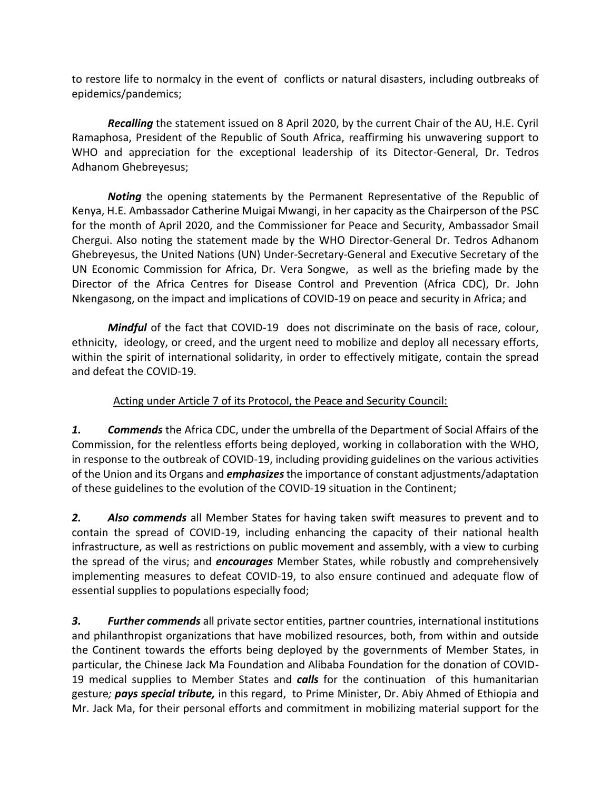to restore life to normalcy in the event of conflicts or natural disasters, including outbreaks of epidemics/pandemics;

*Recalling* the statement issued on 8 April 2020, by the current Chair of the AU, H.E. Cyril Ramaphosa, President of the Republic of South Africa, reaffirming his unwavering support to WHO and appreciation for the exceptional leadership of its Ditector-General, Dr. Tedros Adhanom Ghebreyesus;

*Noting* the opening statements by the Permanent Representative of the Republic of Kenya, H.E. Ambassador Catherine Muigai Mwangi, in her capacity as the Chairperson of the PSC for the month of April 2020, and the Commissioner for Peace and Security, Ambassador Smail Chergui. Also noting the statement made by the WHO Director-General Dr. Tedros Adhanom Ghebreyesus, the United Nations (UN) Under-Secretary-General and Executive Secretary of the UN Economic Commission for Africa, Dr. Vera Songwe, as well as the briefing made by the Director of the Africa Centres for Disease Control and Prevention (Africa CDC), Dr. John Nkengasong, on the impact and implications of COVID-19 on peace and security in Africa; and

*Mindful* of the fact that COVID-19 does not discriminate on the basis of race, colour, ethnicity, ideology, or creed, and the urgent need to mobilize and deploy all necessary efforts, within the spirit of international solidarity, in order to effectively mitigate, contain the spread and defeat the COVID-19.

Acting under Article 7 of its Protocol, the Peace and Security Council:

*1. Commends* the Africa CDC, under the umbrella of the Department of Social Affairs of the Commission, for the relentless efforts being deployed, working in collaboration with the WHO, in response to the outbreak of COVID-19, including providing guidelines on the various activities of the Union and its Organs and *emphasizes* the importance of constant adjustments/adaptation of these guidelines to the evolution of the COVID-19 situation in the Continent;

*2. Also commends* all Member States for having taken swift measures to prevent and to contain the spread of COVID-19, including enhancing the capacity of their national health infrastructure, as well as restrictions on public movement and assembly, with a view to curbing the spread of the virus; and *encourages* Member States, while robustly and comprehensively implementing measures to defeat COVID-19, to also ensure continued and adequate flow of essential supplies to populations especially food;

*3. Further commends* all private sector entities, partner countries, international institutions and philanthropist organizations that have mobilized resources, both, from within and outside the Continent towards the efforts being deployed by the governments of Member States, in particular, the Chinese Jack Ma Foundation and Alibaba Foundation for the donation of COVID-19 medical supplies to Member States and *calls* for the continuation of this humanitarian gesture*; pays special tribute,* in this regard, to Prime Minister, Dr. Abiy Ahmed of Ethiopia and Mr. Jack Ma, for their personal efforts and commitment in mobilizing material support for the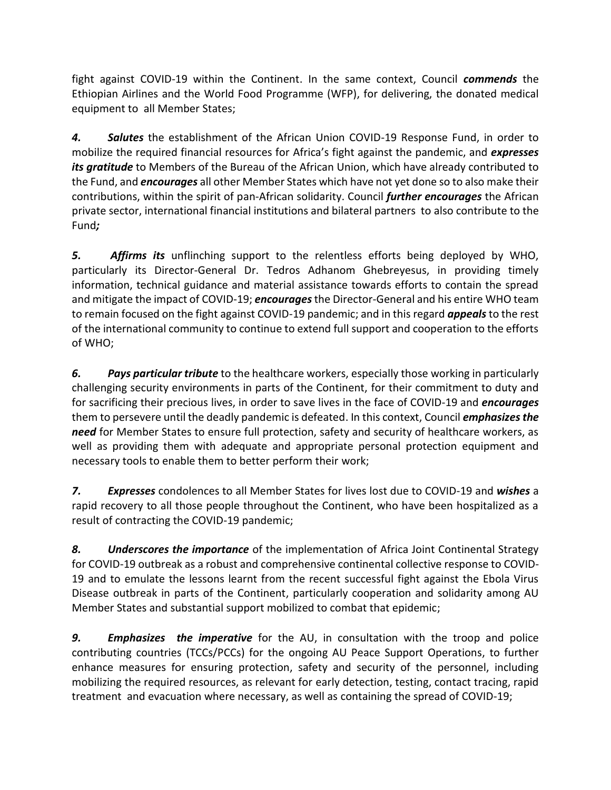fight against COVID-19 within the Continent. In the same context, Council *commends* the Ethiopian Airlines and the World Food Programme (WFP), for delivering, the donated medical equipment to all Member States;

*4. Salutes* the establishment of the African Union COVID-19 Response Fund, in order to mobilize the required financial resources for Africa's fight against the pandemic, and *expresses its gratitude* to Members of the Bureau of the African Union, which have already contributed to the Fund, and *encourages* all other Member States which have not yet done so to also make their contributions, within the spirit of pan-African solidarity. Council *further encourages* the African private sector, international financial institutions and bilateral partners to also contribute to the Fund*;*

*5. Affirms its* unflinching support to the relentless efforts being deployed by WHO, particularly its Director-General Dr. Tedros Adhanom Ghebreyesus, in providing timely information, technical guidance and material assistance towards efforts to contain the spread and mitigate the impact of COVID-19; *encourages*the Director-General and his entire WHO team to remain focused on the fight against COVID-19 pandemic; and in this regard *appeals* to the rest of the international community to continue to extend full support and cooperation to the efforts of WHO;

*6. Pays particular tribute* to the healthcare workers, especially those working in particularly challenging security environments in parts of the Continent, for their commitment to duty and for sacrificing their precious lives, in order to save lives in the face of COVID-19 and *encourages* them to persevere until the deadly pandemic is defeated. In this context, Council *emphasizes the need* for Member States to ensure full protection, safety and security of healthcare workers, as well as providing them with adequate and appropriate personal protection equipment and necessary tools to enable them to better perform their work;

*7. Expresses* condolences to all Member States for lives lost due to COVID-19 and *wishes* a rapid recovery to all those people throughout the Continent, who have been hospitalized as a result of contracting the COVID-19 pandemic;

*8. Underscores the importance* of the implementation of Africa Joint Continental Strategy for COVID-19 outbreak as a robust and comprehensive continental collective response to COVID-19 and to emulate the lessons learnt from the recent successful fight against the Ebola Virus Disease outbreak in parts of the Continent, particularly cooperation and solidarity among AU Member States and substantial support mobilized to combat that epidemic;

*9. Emphasizes the imperative* for the AU, in consultation with the troop and police contributing countries (TCCs/PCCs) for the ongoing AU Peace Support Operations, to further enhance measures for ensuring protection, safety and security of the personnel, including mobilizing the required resources, as relevant for early detection, testing, contact tracing, rapid treatment and evacuation where necessary, as well as containing the spread of COVID-19;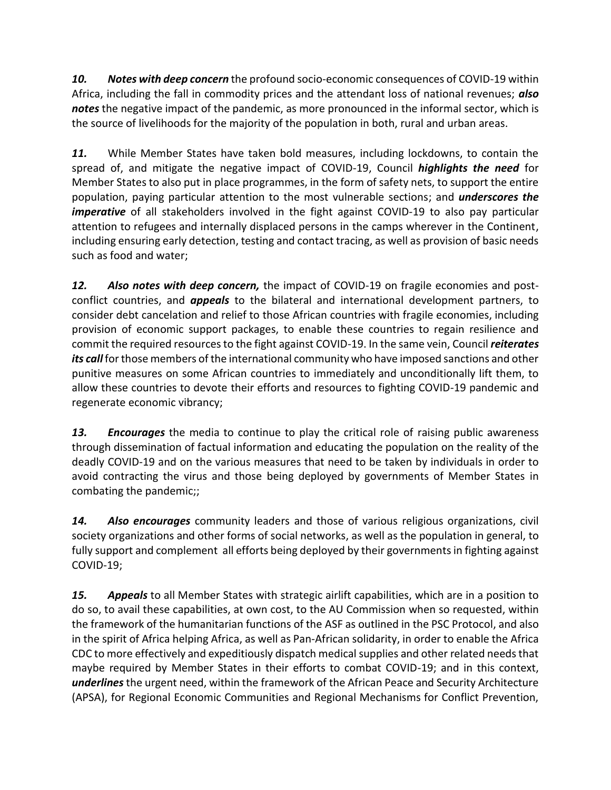*10. Notes with deep concern* the profound socio-economic consequences of COVID-19 within Africa, including the fall in commodity prices and the attendant loss of national revenues; *also notes* the negative impact of the pandemic, as more pronounced in the informal sector, which is the source of livelihoods for the majority of the population in both, rural and urban areas.

*11.* While Member States have taken bold measures, including lockdowns, to contain the spread of, and mitigate the negative impact of COVID-19, Council *highlights the need* for Member States to also put in place programmes, in the form of safety nets, to support the entire population, paying particular attention to the most vulnerable sections; and *underscores the imperative* of all stakeholders involved in the fight against COVID-19 to also pay particular attention to refugees and internally displaced persons in the camps wherever in the Continent, including ensuring early detection, testing and contact tracing, as well as provision of basic needs such as food and water;

*12. Also notes with deep concern,* the impact of COVID-19 on fragile economies and postconflict countries, and *appeals* to the bilateral and international development partners, to consider debt cancelation and relief to those African countries with fragile economies, including provision of economic support packages, to enable these countries to regain resilience and commit the required resources to the fight against COVID-19. In the same vein, Council *reiterates its call* for those members of the international community who have imposed sanctions and other punitive measures on some African countries to immediately and unconditionally lift them, to allow these countries to devote their efforts and resources to fighting COVID-19 pandemic and regenerate economic vibrancy;

*13. Encourages* the media to continue to play the critical role of raising public awareness through dissemination of factual information and educating the population on the reality of the deadly COVID-19 and on the various measures that need to be taken by individuals in order to avoid contracting the virus and those being deployed by governments of Member States in combating the pandemic;;

*14. Also encourages* community leaders and those of various religious organizations, civil society organizations and other forms of social networks, as well as the population in general, to fully support and complement all efforts being deployed by their governments in fighting against COVID-19;

*15. Appeals* to all Member States with strategic airlift capabilities, which are in a position to do so, to avail these capabilities, at own cost, to the AU Commission when so requested, within the framework of the humanitarian functions of the ASF as outlined in the PSC Protocol, and also in the spirit of Africa helping Africa, as well as Pan-African solidarity, in order to enable the Africa CDC to more effectively and expeditiously dispatch medical supplies and other related needs that maybe required by Member States in their efforts to combat COVID-19; and in this context, *underlines* the urgent need, within the framework of the African Peace and Security Architecture (APSA), for Regional Economic Communities and Regional Mechanisms for Conflict Prevention,